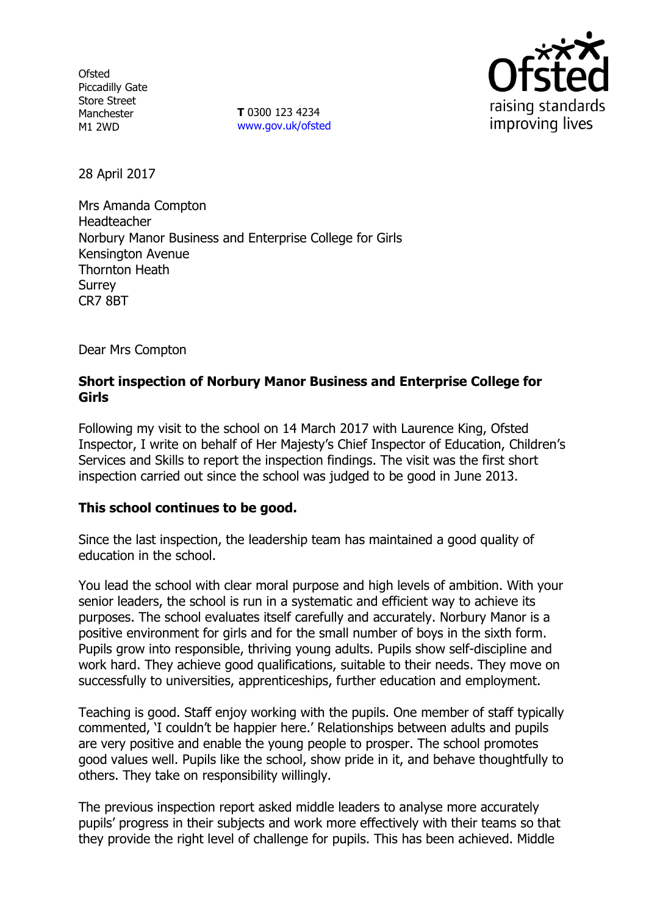**Ofsted** Piccadilly Gate Store Street Manchester M1 2WD

**T** 0300 123 4234 www.gov.uk/ofsted



28 April 2017

Mrs Amanda Compton Headteacher Norbury Manor Business and Enterprise College for Girls Kensington Avenue Thornton Heath Surrey CR7 8BT

Dear Mrs Compton

## **Short inspection of Norbury Manor Business and Enterprise College for Girls**

Following my visit to the school on 14 March 2017 with Laurence King, Ofsted Inspector, I write on behalf of Her Majesty's Chief Inspector of Education, Children's Services and Skills to report the inspection findings. The visit was the first short inspection carried out since the school was judged to be good in June 2013.

# **This school continues to be good.**

Since the last inspection, the leadership team has maintained a good quality of education in the school.

You lead the school with clear moral purpose and high levels of ambition. With your senior leaders, the school is run in a systematic and efficient way to achieve its purposes. The school evaluates itself carefully and accurately. Norbury Manor is a positive environment for girls and for the small number of boys in the sixth form. Pupils grow into responsible, thriving young adults. Pupils show self-discipline and work hard. They achieve good qualifications, suitable to their needs. They move on successfully to universities, apprenticeships, further education and employment.

Teaching is good. Staff enjoy working with the pupils. One member of staff typically commented, 'I couldn't be happier here.' Relationships between adults and pupils are very positive and enable the young people to prosper. The school promotes good values well. Pupils like the school, show pride in it, and behave thoughtfully to others. They take on responsibility willingly.

The previous inspection report asked middle leaders to analyse more accurately pupils' progress in their subjects and work more effectively with their teams so that they provide the right level of challenge for pupils. This has been achieved. Middle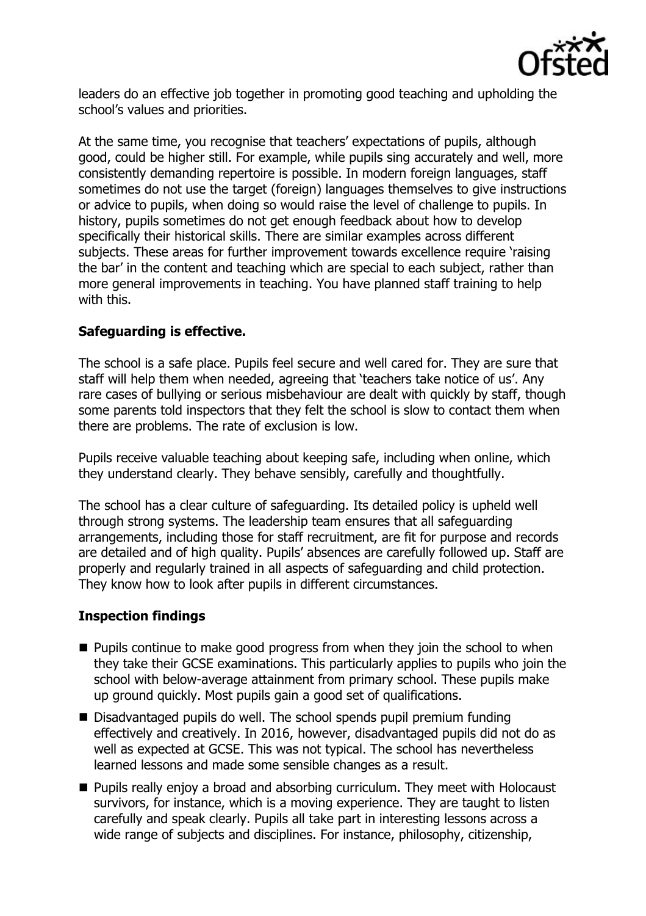

leaders do an effective job together in promoting good teaching and upholding the school's values and priorities.

At the same time, you recognise that teachers' expectations of pupils, although good, could be higher still. For example, while pupils sing accurately and well, more consistently demanding repertoire is possible. In modern foreign languages, staff sometimes do not use the target (foreign) languages themselves to give instructions or advice to pupils, when doing so would raise the level of challenge to pupils. In history, pupils sometimes do not get enough feedback about how to develop specifically their historical skills. There are similar examples across different subjects. These areas for further improvement towards excellence require 'raising the bar' in the content and teaching which are special to each subject, rather than more general improvements in teaching. You have planned staff training to help with this.

### **Safeguarding is effective.**

The school is a safe place. Pupils feel secure and well cared for. They are sure that staff will help them when needed, agreeing that 'teachers take notice of us'. Any rare cases of bullying or serious misbehaviour are dealt with quickly by staff, though some parents told inspectors that they felt the school is slow to contact them when there are problems. The rate of exclusion is low.

Pupils receive valuable teaching about keeping safe, including when online, which they understand clearly. They behave sensibly, carefully and thoughtfully.

The school has a clear culture of safeguarding. Its detailed policy is upheld well through strong systems. The leadership team ensures that all safeguarding arrangements, including those for staff recruitment, are fit for purpose and records are detailed and of high quality. Pupils' absences are carefully followed up. Staff are properly and regularly trained in all aspects of safeguarding and child protection. They know how to look after pupils in different circumstances.

#### **Inspection findings**

- $\blacksquare$  Pupils continue to make good progress from when they join the school to when they take their GCSE examinations. This particularly applies to pupils who join the school with below-average attainment from primary school. These pupils make up ground quickly. Most pupils gain a good set of qualifications.
- Disadvantaged pupils do well. The school spends pupil premium funding effectively and creatively. In 2016, however, disadvantaged pupils did not do as well as expected at GCSE. This was not typical. The school has nevertheless learned lessons and made some sensible changes as a result.
- **Pupils really enjoy a broad and absorbing curriculum. They meet with Holocaust** survivors, for instance, which is a moving experience. They are taught to listen carefully and speak clearly. Pupils all take part in interesting lessons across a wide range of subjects and disciplines. For instance, philosophy, citizenship,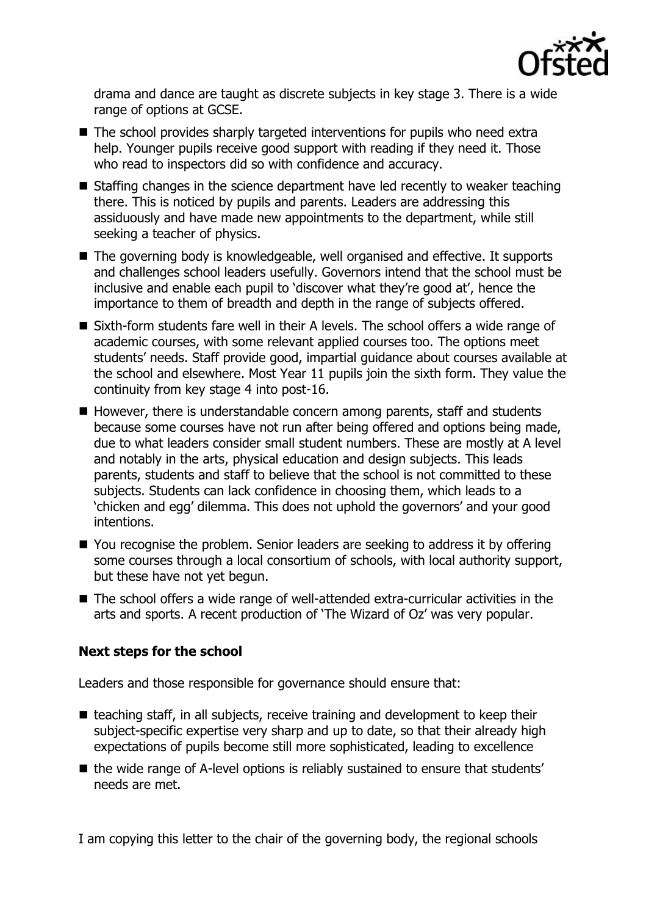

drama and dance are taught as discrete subjects in key stage 3. There is a wide range of options at GCSE.

- The school provides sharply targeted interventions for pupils who need extra help. Younger pupils receive good support with reading if they need it. Those who read to inspectors did so with confidence and accuracy.
- Staffing changes in the science department have led recently to weaker teaching there. This is noticed by pupils and parents. Leaders are addressing this assiduously and have made new appointments to the department, while still seeking a teacher of physics.
- The governing body is knowledgeable, well organised and effective. It supports and challenges school leaders usefully. Governors intend that the school must be inclusive and enable each pupil to 'discover what they're good at', hence the importance to them of breadth and depth in the range of subjects offered.
- Sixth-form students fare well in their A levels. The school offers a wide range of academic courses, with some relevant applied courses too. The options meet students' needs. Staff provide good, impartial guidance about courses available at the school and elsewhere. Most Year 11 pupils join the sixth form. They value the continuity from key stage 4 into post-16.
- $\blacksquare$  However, there is understandable concern among parents, staff and students because some courses have not run after being offered and options being made, due to what leaders consider small student numbers. These are mostly at A level and notably in the arts, physical education and design subjects. This leads parents, students and staff to believe that the school is not committed to these subjects. Students can lack confidence in choosing them, which leads to a 'chicken and egg' dilemma. This does not uphold the governors' and your good intentions.
- You recognise the problem. Senior leaders are seeking to address it by offering some courses through a local consortium of schools, with local authority support, but these have not yet begun.
- The school offers a wide range of well-attended extra-curricular activities in the arts and sports. A recent production of 'The Wizard of Oz' was very popular.

# **Next steps for the school**

Leaders and those responsible for governance should ensure that:

- $\blacksquare$  teaching staff, in all subjects, receive training and development to keep their subject-specific expertise very sharp and up to date, so that their already high expectations of pupils become still more sophisticated, leading to excellence
- the wide range of A-level options is reliably sustained to ensure that students' needs are met.

I am copying this letter to the chair of the governing body, the regional schools